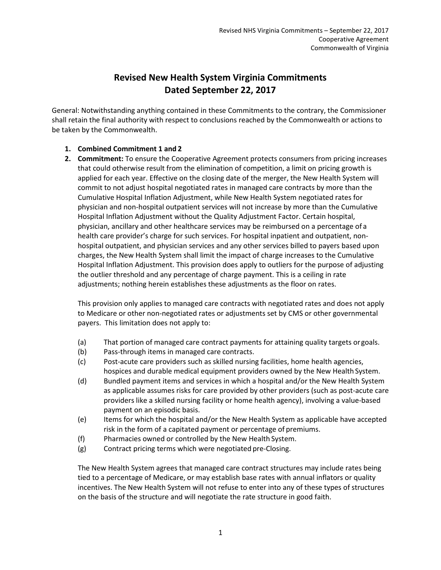# **Revised New Health System Virginia Commitments Dated September 22, 2017**

General: Notwithstanding anything contained in these Commitments to the contrary, the Commissioner shall retain the final authority with respect to conclusions reached by the Commonwealth or actions to be taken by the Commonwealth.

## **1. Combined Commitment 1 and 2**

**2. Commitment:** To ensure the Cooperative Agreement protects consumers from pricing increases that could otherwise result from the elimination of competition, a limit on pricing growth is applied for each year. Effective on the closing date of the merger, the New Health System will commit to not adjust hospital negotiated rates in managed care contracts by more than the Cumulative Hospital Inflation Adjustment, while New Health System negotiated rates for physician and non-hospital outpatient services will not increase by more than the Cumulative Hospital Inflation Adjustment without the Quality Adjustment Factor. Certain hospital, physician, ancillary and other healthcare services may be reimbursed on a percentage of a health care provider's charge for such services. For hospital inpatient and outpatient, nonhospital outpatient, and physician services and any other services billed to payers based upon charges, the New Health System shall limit the impact of charge increases to the Cumulative Hospital Inflation Adjustment. This provision does apply to outliers for the purpose of adjusting the outlier threshold and any percentage of charge payment. This is a ceiling in rate adjustments; nothing herein establishes these adjustments as the floor on rates.

This provision only applies to managed care contracts with negotiated rates and does not apply to Medicare or other non-negotiated rates or adjustments set by CMS or other governmental payers. This limitation does not apply to:

- (a) That portion of managed care contract payments for attaining quality targets orgoals.
- (b) Pass-through items in managed care contracts.
- (c) Post-acute care providers such as skilled nursing facilities, home health agencies, hospices and durable medical equipment providers owned by the New Health System.
- (d) Bundled payment items and services in which a hospital and/or the New Health System as applicable assumes risks for care provided by other providers (such as post-acute care providers like a skilled nursing facility or home health agency), involving a value-based payment on an episodic basis.
- (e) Items for which the hospital and/or the New Health System as applicable have accepted risk in the form of a capitated payment or percentage of premiums.
- (f) Pharmacies owned or controlled by the New Health System.
- (g) Contract pricing terms which were negotiated pre-Closing.

The New Health System agrees that managed care contract structures may include rates being tied to a percentage of Medicare, or may establish base rates with annual inflators or quality incentives. The New Health System will not refuse to enter into any of these types of structures on the basis of the structure and will negotiate the rate structure in good faith.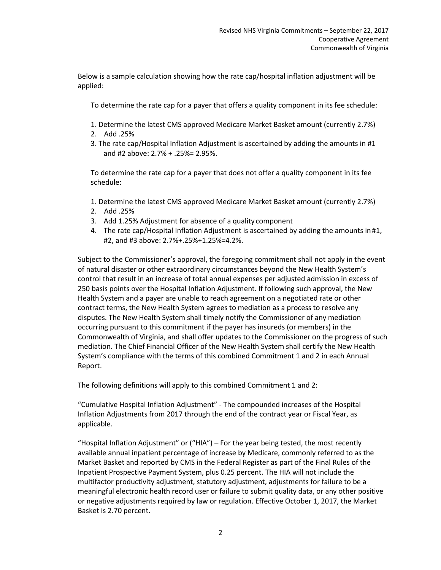Below is a sample calculation showing how the rate cap/hospital inflation adjustment will be applied:

To determine the rate cap for a payer that offers a quality component in its fee schedule:

- 1. Determine the latest CMS approved Medicare Market Basket amount (currently 2.7%)
- 2. Add .25%
- 3. The rate cap/Hospital Inflation Adjustment is ascertained by adding the amounts in #1 and #2 above: 2.7% + .25%= 2.95%.

To determine the rate cap for a payer that does not offer a quality component in its fee schedule:

- 1. Determine the latest CMS approved Medicare Market Basket amount (currently 2.7%)
- 2. Add .25%
- 3. Add 1.25% Adjustment for absence of a quality component
- 4. The rate cap/Hospital Inflation Adjustment is ascertained by adding the amounts in #1, #2, and #3 above: 2.7%+.25%+1.25%=4.2%.

Subject to the Commissioner's approval, the foregoing commitment shall not apply in the event of natural disaster or other extraordinary circumstances beyond the New Health System's control that result in an increase of total annual expenses per adjusted admission in excess of 250 basis points over the Hospital Inflation Adjustment. If following such approval, the New Health System and a payer are unable to reach agreement on a negotiated rate or other contract terms, the New Health System agrees to mediation as a process to resolve any disputes. The New Health System shall timely notify the Commissioner of any mediation occurring pursuant to this commitment if the payer has insureds (or members) in the Commonwealth of Virginia, and shall offer updates to the Commissioner on the progress of such mediation. The Chief Financial Officer of the New Health System shall certify the New Health System's compliance with the terms of this combined Commitment 1 and 2 in each Annual Report.

The following definitions will apply to this combined Commitment 1 and 2:

"Cumulative Hospital Inflation Adjustment" - The compounded increases of the Hospital Inflation Adjustments from 2017 through the end of the contract year or Fiscal Year, as applicable.

"Hospital Inflation Adjustment" or ("HIA") – For the year being tested, the most recently available annual inpatient percentage of increase by Medicare, commonly referred to as the Market Basket and reported by CMS in the Federal Register as part of the Final Rules of the Inpatient Prospective Payment System, plus 0.25 percent. The HIA will not include the multifactor productivity adjustment, statutory adjustment, adjustments for failure to be a meaningful electronic health record user or failure to submit quality data, or any other positive or negative adjustments required by law or regulation. Effective October 1, 2017, the Market Basket is 2.70 percent.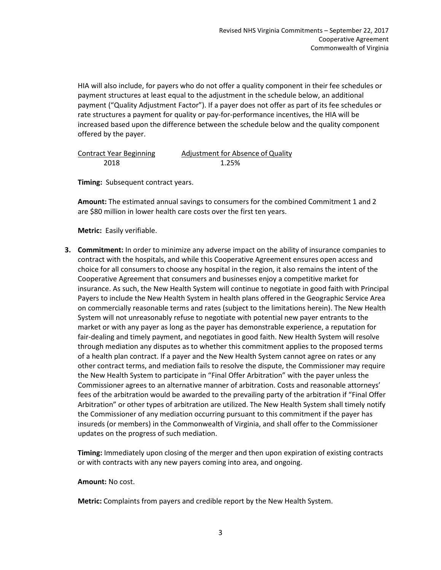HIA will also include, for payers who do not offer a quality component in their fee schedules or payment structures at least equal to the adjustment in the schedule below, an additional payment ("Quality Adjustment Factor"). If a payer does not offer as part of its fee schedules or rate structures a payment for quality or pay-for-performance incentives, the HIA will be increased based upon the difference between the schedule below and the quality component offered by the payer.

| <b>Contract Year Beginning</b> | Adjustment for Absence of Quality |
|--------------------------------|-----------------------------------|
| 2018                           | 1.25%                             |

**Timing:** Subsequent contract years.

**Amount:** The estimated annual savings to consumers for the combined Commitment 1 and 2 are \$80 million in lower health care costs over the first ten years.

**Metric:** Easily verifiable.

**3. Commitment:** In order to minimize any adverse impact on the ability of insurance companies to contract with the hospitals, and while this Cooperative Agreement ensures open access and choice for all consumers to choose any hospital in the region, it also remains the intent of the Cooperative Agreement that consumers and businesses enjoy a competitive market for insurance. As such, the New Health System will continue to negotiate in good faith with Principal Payers to include the New Health System in health plans offered in the Geographic Service Area on commercially reasonable terms and rates (subject to the limitations herein). The New Health System will not unreasonably refuse to negotiate with potential new payer entrants to the market or with any payer as long as the payer has demonstrable experience, a reputation for fair-dealing and timely payment, and negotiates in good faith. New Health System will resolve through mediation any disputes as to whether this commitment applies to the proposed terms of a health plan contract. If a payer and the New Health System cannot agree on rates or any other contract terms, and mediation fails to resolve the dispute, the Commissioner may require the New Health System to participate in "Final Offer Arbitration" with the payer unless the Commissioner agrees to an alternative manner of arbitration. Costs and reasonable attorneys' fees of the arbitration would be awarded to the prevailing party of the arbitration if "Final Offer Arbitration" or other types of arbitration are utilized. The New Health System shall timely notify the Commissioner of any mediation occurring pursuant to this commitment if the payer has insureds (or members) in the Commonwealth of Virginia, and shall offer to the Commissioner updates on the progress of such mediation.

**Timing:** Immediately upon closing of the merger and then upon expiration of existing contracts or with contracts with any new payers coming into area, and ongoing.

#### **Amount:** No cost.

**Metric:** Complaints from payers and credible report by the New Health System.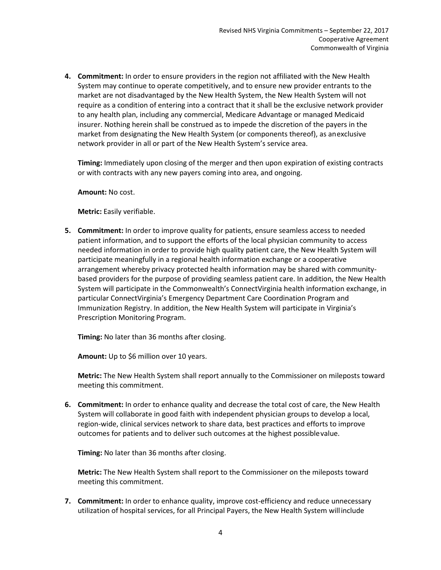**4. Commitment:** In order to ensure providers in the region not affiliated with the New Health System may continue to operate competitively, and to ensure new provider entrants to the market are not disadvantaged by the New Health System, the New Health System will not require as a condition of entering into a contract that it shall be the exclusive network provider to any health plan, including any commercial, Medicare Advantage or managed Medicaid insurer. Nothing herein shall be construed as to impede the discretion of the payers in the market from designating the New Health System (or components thereof), as anexclusive network provider in all or part of the New Health System's service area.

**Timing:** Immediately upon closing of the merger and then upon expiration of existing contracts or with contracts with any new payers coming into area, and ongoing.

**Amount:** No cost.

**Metric:** Easily verifiable.

**5. Commitment:** In order to improve quality for patients, ensure seamless access to needed patient information, and to support the efforts of the local physician community to access needed information in order to provide high quality patient care, the New Health System will participate meaningfully in a regional health information exchange or a cooperative arrangement whereby privacy protected health information may be shared with communitybased providers for the purpose of providing seamless patient care. In addition, the New Health System will participate in the Commonwealth's ConnectVirginia health information exchange, in particular ConnectVirginia's Emergency Department Care Coordination Program and Immunization Registry. In addition, the New Health System will participate in Virginia's Prescription Monitoring Program.

**Timing:** No later than 36 months after closing.

**Amount:** Up to \$6 million over 10 years.

**Metric:** The New Health System shall report annually to the Commissioner on mileposts toward meeting this commitment.

**6. Commitment:** In order to enhance quality and decrease the total cost of care, the New Health System will collaborate in good faith with independent physician groups to develop a local, region-wide, clinical services network to share data, best practices and efforts to improve outcomes for patients and to deliver such outcomes at the highest possiblevalue.

**Timing:** No later than 36 months after closing.

**Metric:** The New Health System shall report to the Commissioner on the mileposts toward meeting this commitment.

**7. Commitment:** In order to enhance quality, improve cost-efficiency and reduce unnecessary utilization of hospital services, for all Principal Payers, the New Health System will include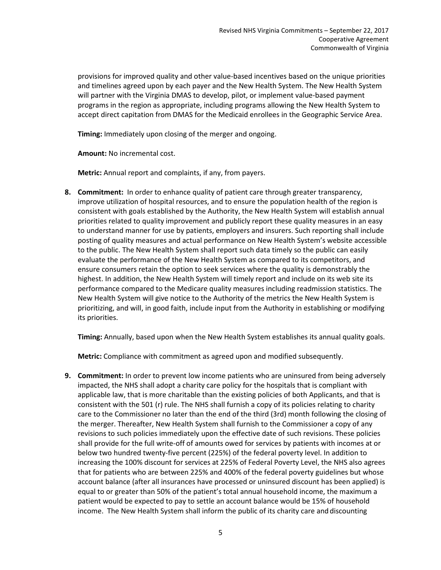provisions for improved quality and other value-based incentives based on the unique priorities and timelines agreed upon by each payer and the New Health System. The New Health System will partner with the Virginia DMAS to develop, pilot, or implement value-based payment programs in the region as appropriate, including programs allowing the New Health System to accept direct capitation from DMAS for the Medicaid enrollees in the Geographic Service Area.

**Timing:** Immediately upon closing of the merger and ongoing.

**Amount:** No incremental cost.

**Metric:** Annual report and complaints, if any, from payers.

**8. Commitment:** In order to enhance quality of patient care through greater transparency, improve utilization of hospital resources, and to ensure the population health of the region is consistent with goals established by the Authority, the New Health System will establish annual priorities related to quality improvement and publicly report these quality measures in an easy to understand manner for use by patients, employers and insurers. Such reporting shall include posting of quality measures and actual performance on New Health System's website accessible to the public. The New Health System shall report such data timely so the public can easily evaluate the performance of the New Health System as compared to its competitors, and ensure consumers retain the option to seek services where the quality is demonstrably the highest. In addition, the New Health System will timely report and include on its web site its performance compared to the Medicare quality measures including readmission statistics. The New Health System will give notice to the Authority of the metrics the New Health System is prioritizing, and will, in good faith, include input from the Authority in establishing or modifying its priorities.

**Timing:** Annually, based upon when the New Health System establishes its annual quality goals.

**Metric:** Compliance with commitment as agreed upon and modified subsequently.

**9. Commitment:** In order to prevent low income patients who are uninsured from being adversely impacted, the NHS shall adopt a charity care policy for the hospitals that is compliant with applicable law, that is more charitable than the existing policies of both Applicants, and that is consistent with the 501 (r) rule. The NHS shall furnish a copy of its policies relating to charity care to the Commissioner no later than the end of the third (3rd) month following the closing of the merger. Thereafter, New Health System shall furnish to the Commissioner a copy of any revisions to such policies immediately upon the effective date of such revisions. These policies shall provide for the full write-off of amounts owed for services by patients with incomes at or below two hundred twenty-five percent (225%) of the federal poverty level. In addition to increasing the 100% discount for services at 225% of Federal Poverty Level, the NHS also agrees that for patients who are between 225% and 400% of the federal poverty guidelines but whose account balance (after all insurances have processed or uninsured discount has been applied) is equal to or greater than 50% of the patient's total annual household income, the maximum a patient would be expected to pay to settle an account balance would be 15% of household income. The New Health System shall inform the public of its charity care and discounting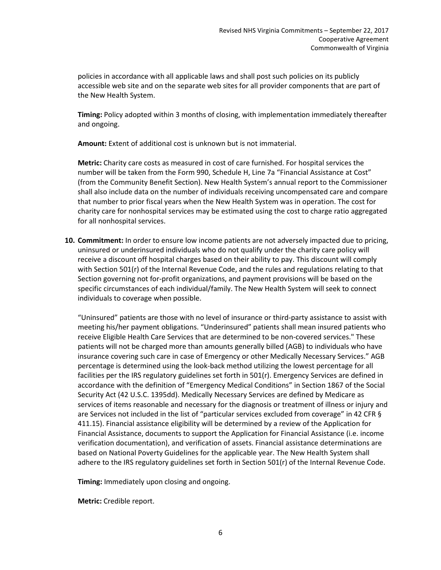policies in accordance with all applicable laws and shall post such policies on its publicly accessible web site and on the separate web sites for all provider components that are part of the New Health System.

**Timing:** Policy adopted within 3 months of closing, with implementation immediately thereafter and ongoing.

**Amount:** Extent of additional cost is unknown but is not immaterial.

**Metric:** Charity care costs as measured in cost of care furnished. For hospital services the number will be taken from the Form 990, Schedule H, Line 7a "Financial Assistance at Cost" (from the Community Benefit Section). New Health System's annual report to the Commissioner shall also include data on the number of individuals receiving uncompensated care and compare that number to prior fiscal years when the New Health System was in operation. The cost for charity care for nonhospital services may be estimated using the cost to charge ratio aggregated for all nonhospital services.

**10. Commitment:** In order to ensure low income patients are not adversely impacted due to pricing, uninsured or underinsured individuals who do not qualify under the charity care policy will receive a discount off hospital charges based on their ability to pay. This discount will comply with Section 501(r) of the Internal Revenue Code, and the rules and regulations relating to that Section governing not for-profit organizations, and payment provisions will be based on the specific circumstances of each individual/family. The New Health System will seek to connect individuals to coverage when possible.

"Uninsured" patients are those with no level of insurance or third-party assistance to assist with meeting his/her payment obligations. "Underinsured" patients shall mean insured patients who receive Eligible Health Care Services that are determined to be non-covered services." These patients will not be charged more than amounts generally billed (AGB) to individuals who have insurance covering such care in case of Emergency or other Medically Necessary Services." AGB percentage is determined using the look-back method utilizing the lowest percentage for all facilities per the IRS regulatory guidelines set forth in 501(r). Emergency Services are defined in accordance with the definition of "Emergency Medical Conditions" in Section 1867 of the Social Security Act (42 U.S.C. 1395dd). Medically Necessary Services are defined by Medicare as services of items reasonable and necessary for the diagnosis or treatment of illness or injury and are Services not included in the list of "particular services excluded from coverage" in 42 CFR § 411.15). Financial assistance eligibility will be determined by a review of the Application for Financial Assistance, documents to support the Application for Financial Assistance (i.e. income verification documentation), and verification of assets. Financial assistance determinations are based on National Poverty Guidelines for the applicable year. The New Health System shall adhere to the IRS regulatory guidelines set forth in Section 501(r) of the Internal Revenue Code.

**Timing:** Immediately upon closing and ongoing.

**Metric:** Credible report.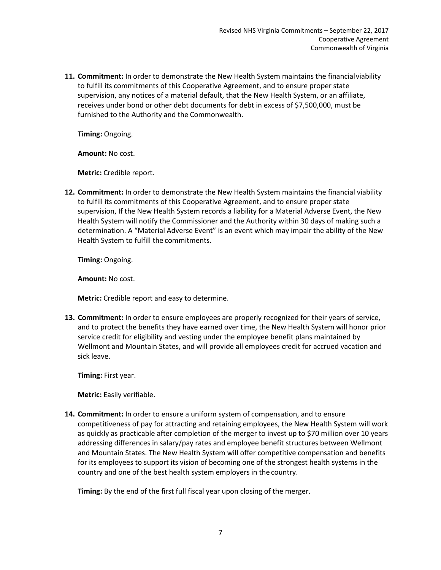**11. Commitment:** In order to demonstrate the New Health System maintains the financialviability to fulfill its commitments of this Cooperative Agreement, and to ensure proper state supervision, any notices of a material default, that the New Health System, or an affiliate, receives under bond or other debt documents for debt in excess of \$7,500,000, must be furnished to the Authority and the Commonwealth.

**Timing:** Ongoing.

**Amount:** No cost.

**Metric:** Credible report.

**12. Commitment:** In order to demonstrate the New Health System maintains the financial viability to fulfill its commitments of this Cooperative Agreement, and to ensure proper state supervision, If the New Health System records a liability for a Material Adverse Event, the New Health System will notify the Commissioner and the Authority within 30 days of making such a determination. A "Material Adverse Event" is an event which may impair the ability of the New Health System to fulfill the commitments.

**Timing:** Ongoing.

**Amount:** No cost.

**Metric:** Credible report and easy to determine.

**13. Commitment:** In order to ensure employees are properly recognized for their years of service, and to protect the benefits they have earned over time, the New Health System will honor prior service credit for eligibility and vesting under the employee benefit plans maintained by Wellmont and Mountain States, and will provide all employees credit for accrued vacation and sick leave.

**Timing:** First year.

**Metric:** Easily verifiable.

**14. Commitment:** In order to ensure a uniform system of compensation, and to ensure competitiveness of pay for attracting and retaining employees, the New Health System will work as quickly as practicable after completion of the merger to invest up to \$70 million over 10 years addressing differences in salary/pay rates and employee benefit structures between Wellmont and Mountain States. The New Health System will offer competitive compensation and benefits for its employees to support its vision of becoming one of the strongest health systems in the country and one of the best health system employers in the country.

**Timing:** By the end of the first full fiscal year upon closing of the merger.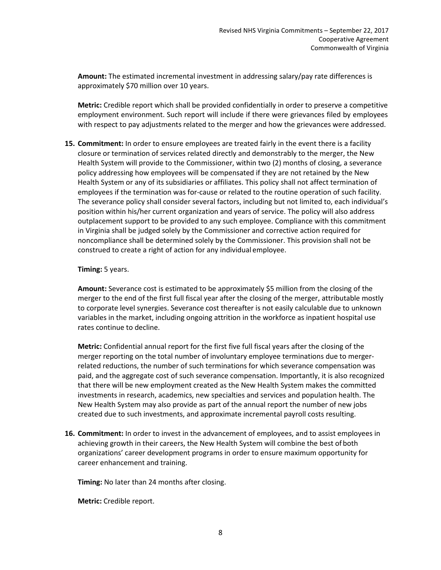**Amount:** The estimated incremental investment in addressing salary/pay rate differences is approximately \$70 million over 10 years.

**Metric:** Credible report which shall be provided confidentially in order to preserve a competitive employment environment. Such report will include if there were grievances filed by employees with respect to pay adjustments related to the merger and how the grievances were addressed.

**15. Commitment:** In order to ensure employees are treated fairly in the event there is a facility closure or termination of services related directly and demonstrably to the merger, the New Health System will provide to the Commissioner, within two (2) months of closing, a severance policy addressing how employees will be compensated if they are not retained by the New Health System or any of its subsidiaries or affiliates. This policy shall not affect termination of employees if the termination was for-cause or related to the routine operation of such facility. The severance policy shall consider several factors, including but not limited to, each individual's position within his/her current organization and years of service. The policy will also address outplacement support to be provided to any such employee. Compliance with this commitment in Virginia shall be judged solely by the Commissioner and corrective action required for noncompliance shall be determined solely by the Commissioner. This provision shall not be construed to create a right of action for any individual employee.

## **Timing:** 5 years.

**Amount:** Severance cost is estimated to be approximately \$5 million from the closing of the merger to the end of the first full fiscal year after the closing of the merger, attributable mostly to corporate level synergies. Severance cost thereafter is not easily calculable due to unknown variables in the market, including ongoing attrition in the workforce as inpatient hospital use rates continue to decline.

**Metric:** Confidential annual report for the first five full fiscal years after the closing of the merger reporting on the total number of involuntary employee terminations due to mergerrelated reductions, the number of such terminations for which severance compensation was paid, and the aggregate cost of such severance compensation. Importantly, it is also recognized that there will be new employment created as the New Health System makes the committed investments in research, academics, new specialties and services and population health. The New Health System may also provide as part of the annual report the number of new jobs created due to such investments, and approximate incremental payroll costs resulting.

**16. Commitment:** In order to invest in the advancement of employees, and to assist employees in achieving growth in their careers, the New Health System will combine the best ofboth organizations' career development programs in order to ensure maximum opportunity for career enhancement and training.

**Timing:** No later than 24 months after closing.

**Metric:** Credible report.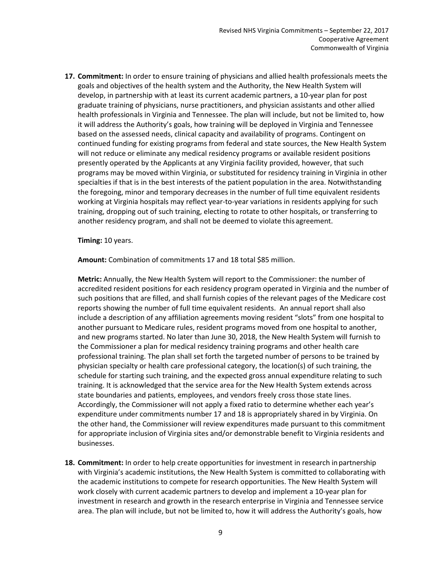**17. Commitment:** In order to ensure training of physicians and allied health professionals meets the goals and objectives of the health system and the Authority, the New Health System will develop, in partnership with at least its current academic partners, a 10-year plan for post graduate training of physicians, nurse practitioners, and physician assistants and other allied health professionals in Virginia and Tennessee. The plan will include, but not be limited to, how it will address the Authority's goals, how training will be deployed in Virginia and Tennessee based on the assessed needs, clinical capacity and availability of programs. Contingent on continued funding for existing programs from federal and state sources, the New Health System will not reduce or eliminate any medical residency programs or available resident positions presently operated by the Applicants at any Virginia facility provided, however, that such programs may be moved within Virginia, or substituted for residency training in Virginia in other specialties if that is in the best interests of the patient population in the area. Notwithstanding the foregoing, minor and temporary decreases in the number of full time equivalent residents working at Virginia hospitals may reflect year-to-year variations in residents applying for such training, dropping out of such training, electing to rotate to other hospitals, or transferring to another residency program, and shall not be deemed to violate this agreement.

#### **Timing:** 10 years.

**Amount:** Combination of commitments 17 and 18 total \$85 million.

**Metric:** Annually, the New Health System will report to the Commissioner: the number of accredited resident positions for each residency program operated in Virginia and the number of such positions that are filled, and shall furnish copies of the relevant pages of the Medicare cost reports showing the number of full time equivalent residents. An annual report shall also include a description of any affiliation agreements moving resident "slots" from one hospital to another pursuant to Medicare rules, resident programs moved from one hospital to another, and new programs started. No later than June 30, 2018, the New Health System will furnish to the Commissioner a plan for medical residency training programs and other health care professional training. The plan shall set forth the targeted number of persons to be trained by physician specialty or health care professional category, the location(s) of such training, the schedule for starting such training, and the expected gross annual expenditure relating to such training. It is acknowledged that the service area for the New Health System extends across state boundaries and patients, employees, and vendors freely cross those state lines. Accordingly, the Commissioner will not apply a fixed ratio to determine whether each year's expenditure under commitments number 17 and 18 is appropriately shared in by Virginia. On the other hand, the Commissioner will review expenditures made pursuant to this commitment for appropriate inclusion of Virginia sites and/or demonstrable benefit to Virginia residents and businesses.

**18. Commitment:** In order to help create opportunities for investment in research inpartnership with Virginia's academic institutions, the New Health System is committed to collaborating with the academic institutions to compete for research opportunities. The New Health System will work closely with current academic partners to develop and implement a 10-year plan for investment in research and growth in the research enterprise in Virginia and Tennessee service area. The plan will include, but not be limited to, how it will address the Authority's goals, how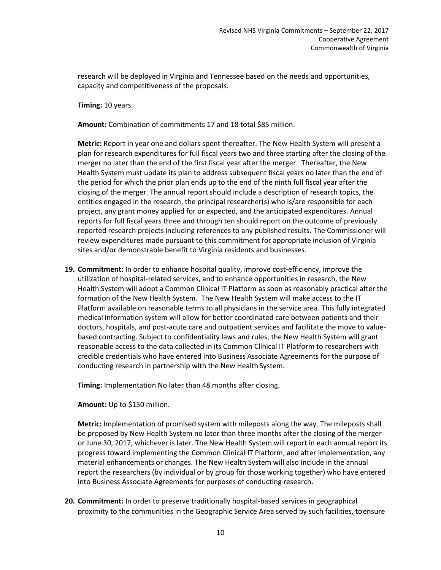research will be deployed in Virginia and Tennessee based on the needs and opportunities, capacity and competitiveness of the proposals.

**Timing:** 10 years.

**Amount:** Combination of commitments 17 and 18 total \$85 million.

**Metric:** Report in year one and dollars spent thereafter. The New Health System will present a plan for research expenditures for full fiscal years two and three starting after the closing of the merger no later than the end of the first fiscal year after the merger. Thereafter, the New Health System must update its plan to address subsequent fiscal years no later than the end of the period for which the prior plan ends up to the end of the ninth full fiscal year after the closing of the merger. The annual report should include a description of research topics, the entities engaged in the research, the principal researcher(s) who is/are responsible for each project, any grant money applied for or expected, and the anticipated expenditures. Annual reports for full fiscal years three and through ten should report on the outcome of previously reported research projects including references to any published results. The Commissioner will review expenditures made pursuant to this commitment for appropriate inclusion of Virginia sites and/or demonstrable benefit to Virginia residents and businesses.

**19. Commitment:** In order to enhance hospital quality, improve cost-efficiency, improve the utilization of hospital-related services, and to enhance opportunities in research, the New Health System will adopt a Common Clinical IT Platform as soon as reasonably practical after the formation of the New Health System. The New Health System will make access to the IT Platform available on reasonable terms to all physicians in the service area. This fully integrated medical information system will allow for better coordinated care between patients and their doctors, hospitals, and post-acute care and outpatient services and facilitate the move to valuebased contracting. Subject to confidentiality laws and rules, the New Health System will grant reasonable access to the data collected in its Common Clinical IT Platform to researchers with credible credentials who have entered into Business Associate Agreements for the purpose of conducting research in partnership with the New Health System.

**Timing:** Implementation No later than 48 months after closing.

**Amount:** Up to \$150 million.

**Metric:** Implementation of promised system with mileposts along the way. The mileposts shall be proposed by New Health System no later than three months after the closing of the merger or June 30, 2017, whichever is later. The New Health System will report in each annual report its progress toward implementing the Common Clinical IT Platform, and after implementation, any material enhancements or changes. The New Health System will also include in the annual report the researchers (by individual or by group for those working together) who have entered into Business Associate Agreements for purposes of conducting research.

**20. Commitment:** In order to preserve traditionally hospital-based services in geographical proximity to the communities in the Geographic Service Area served by such facilities, toensure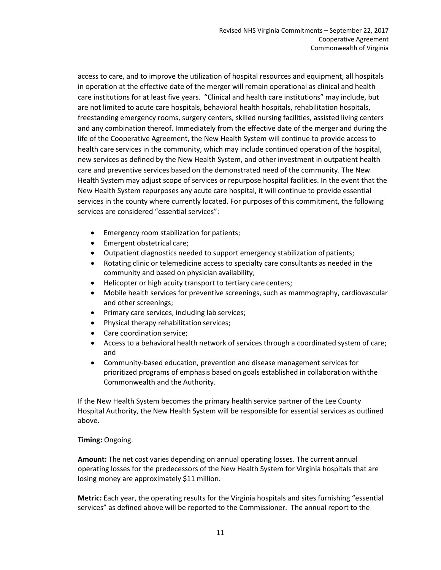access to care, and to improve the utilization of hospital resources and equipment, all hospitals in operation at the effective date of the merger will remain operational as clinical and health care institutions for at least five years. "Clinical and health care institutions" may include, but are not limited to acute care hospitals, behavioral health hospitals, rehabilitation hospitals, freestanding emergency rooms, surgery centers, skilled nursing facilities, assisted living centers and any combination thereof. Immediately from the effective date of the merger and during the life of the Cooperative Agreement, the New Health System will continue to provide access to health care services in the community, which may include continued operation of the hospital, new services as defined by the New Health System, and other investment in outpatient health care and preventive services based on the demonstrated need of the community. The New Health System may adjust scope of services or repurpose hospital facilities. In the event that the New Health System repurposes any acute care hospital, it will continue to provide essential services in the county where currently located. For purposes of this commitment, the following services are considered "essential services":

- Emergency room stabilization for patients;
- Emergent obstetrical care;
- Outpatient diagnostics needed to support emergency stabilization of patients;
- Rotating clinic or telemedicine access to specialty care consultants as needed in the community and based on physician availability;
- Helicopter or high acuity transport to tertiary care centers;
- Mobile health services for preventive screenings, such as mammography, cardiovascular and other screenings;
- Primary care services, including lab services;
- Physical therapy rehabilitation services;
- Care coordination service;
- Access to a behavioral health network of services through a coordinated system of care; and
- Community-based education, prevention and disease management services for prioritized programs of emphasis based on goals established in collaboration withthe Commonwealth and the Authority.

If the New Health System becomes the primary health service partner of the Lee County Hospital Authority, the New Health System will be responsible for essential services as outlined above.

## **Timing:** Ongoing.

**Amount:** The net cost varies depending on annual operating losses. The current annual operating losses for the predecessors of the New Health System for Virginia hospitals that are losing money are approximately \$11 million.

**Metric:** Each year, the operating results for the Virginia hospitals and sites furnishing "essential services" as defined above will be reported to the Commissioner. The annual report to the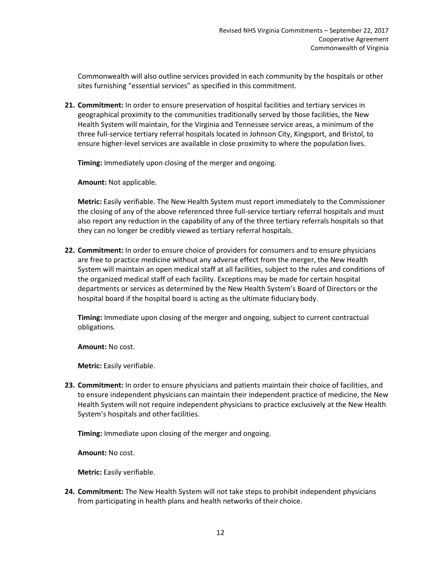Commonwealth will also outline services provided in each community by the hospitals or other sites furnishing "essential services" as specified in this commitment.

**21. Commitment:** In order to ensure preservation of hospital facilities and tertiary services in geographical proximity to the communities traditionally served by those facilities, the New Health System will maintain, for the Virginia and Tennessee service areas, a minimum of the three full-service tertiary referral hospitals located in Johnson City, Kingsport, and Bristol, to ensure higher-level services are available in close proximity to where the population lives.

**Timing:** Immediately upon closing of the merger and ongoing.

**Amount:** Not applicable.

**Metric:** Easily verifiable. The New Health System must report immediately to the Commissioner the closing of any of the above referenced three full-service tertiary referral hospitals and must also report any reduction in the capability of any of the three tertiary referrals hospitals so that they can no longer be credibly viewed as tertiary referral hospitals.

**22. Commitment:** In order to ensure choice of providers for consumers and to ensure physicians are free to practice medicine without any adverse effect from the merger, the New Health System will maintain an open medical staff at all facilities, subject to the rules and conditions of the organized medical staff of each facility. Exceptions may be made for certain hospital departments or services as determined by the New Health System's Board of Directors or the hospital board if the hospital board is acting as the ultimate fiduciary body.

**Timing:** Immediate upon closing of the merger and ongoing, subject to current contractual obligations.

**Amount:** No cost.

**Metric:** Easily verifiable.

**23. Commitment:** In order to ensure physicians and patients maintain their choice of facilities, and to ensure independent physicians can maintain their independent practice of medicine, the New Health System will not require independent physicians to practice exclusively at the New Health System's hospitals and other facilities.

**Timing:** Immediate upon closing of the merger and ongoing.

**Amount:** No cost.

**Metric:** Easily verifiable.

**24. Commitment:** The New Health System will not take steps to prohibit independent physicians from participating in health plans and health networks of their choice.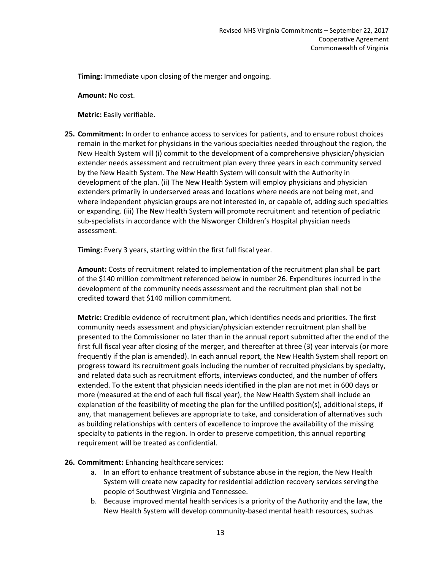**Timing:** Immediate upon closing of the merger and ongoing.

**Amount:** No cost.

**Metric:** Easily verifiable.

**25. Commitment:** In order to enhance access to services for patients, and to ensure robust choices remain in the market for physicians in the various specialties needed throughout the region, the New Health System will (i) commit to the development of a comprehensive physician/physician extender needs assessment and recruitment plan every three years in each community served by the New Health System. The New Health System will consult with the Authority in development of the plan. (ii) The New Health System will employ physicians and physician extenders primarily in underserved areas and locations where needs are not being met, and where independent physician groups are not interested in, or capable of, adding such specialties or expanding. (iii) The New Health System will promote recruitment and retention of pediatric sub-specialists in accordance with the Niswonger Children's Hospital physician needs assessment.

**Timing:** Every 3 years, starting within the first full fiscal year.

**Amount:** Costs of recruitment related to implementation of the recruitment plan shall be part of the \$140 million commitment referenced below in number 26. Expenditures incurred in the development of the community needs assessment and the recruitment plan shall not be credited toward that \$140 million commitment.

**Metric:** Credible evidence of recruitment plan, which identifies needs and priorities. The first community needs assessment and physician/physician extender recruitment plan shall be presented to the Commissioner no later than in the annual report submitted after the end of the first full fiscal year after closing of the merger, and thereafter at three (3) year intervals (or more frequently if the plan is amended). In each annual report, the New Health System shall report on progress toward its recruitment goals including the number of recruited physicians by specialty, and related data such as recruitment efforts, interviews conducted, and the number of offers extended. To the extent that physician needs identified in the plan are not met in 600 days or more (measured at the end of each full fiscal year), the New Health System shall include an explanation of the feasibility of meeting the plan for the unfilled position(s), additional steps, if any, that management believes are appropriate to take, and consideration of alternatives such as building relationships with centers of excellence to improve the availability of the missing specialty to patients in the region. In order to preserve competition, this annual reporting requirement will be treated as confidential.

## **26. Commitment:** Enhancing healthcare services:

- a. In an effort to enhance treatment of substance abuse in the region, the New Health System will create new capacity for residential addiction recovery services servingthe people of Southwest Virginia and Tennessee.
- b. Because improved mental health services is a priority of the Authority and the law, the New Health System will develop community-based mental health resources, suchas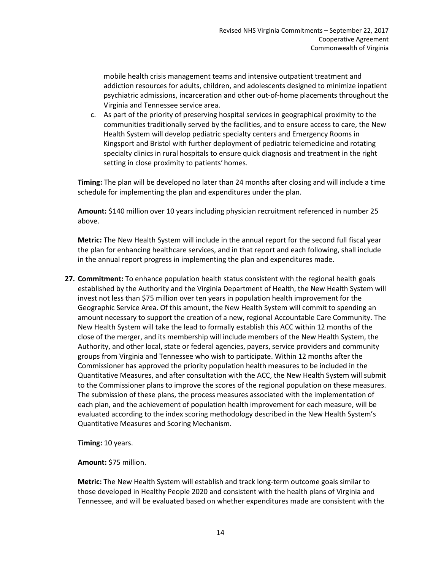mobile health crisis management teams and intensive outpatient treatment and addiction resources for adults, children, and adolescents designed to minimize inpatient psychiatric admissions, incarceration and other out-of-home placements throughout the Virginia and Tennessee service area.

c. As part of the priority of preserving hospital services in geographical proximity to the communities traditionally served by the facilities, and to ensure access to care, the New Health System will develop pediatric specialty centers and Emergency Rooms in Kingsport and Bristol with further deployment of pediatric telemedicine and rotating specialty clinics in rural hospitals to ensure quick diagnosis and treatment in the right setting in close proximity to patients' homes.

**Timing:** The plan will be developed no later than 24 months after closing and will include a time schedule for implementing the plan and expenditures under the plan.

**Amount:** \$140 million over 10 years including physician recruitment referenced in number 25 above.

**Metric:** The New Health System will include in the annual report for the second full fiscal year the plan for enhancing healthcare services, and in that report and each following, shall include in the annual report progress in implementing the plan and expenditures made.

**27. Commitment:** To enhance population health status consistent with the regional health goals established by the Authority and the Virginia Department of Health, the New Health System will invest not less than \$75 million over ten years in population health improvement for the Geographic Service Area. Of this amount, the New Health System will commit to spending an amount necessary to support the creation of a new, regional Accountable Care Community. The New Health System will take the lead to formally establish this ACC within 12 months of the close of the merger, and its membership will include members of the New Health System, the Authority, and other local, state or federal agencies, payers, service providers and community groups from Virginia and Tennessee who wish to participate. Within 12 months after the Commissioner has approved the priority population health measures to be included in the Quantitative Measures, and after consultation with the ACC, the New Health System will submit to the Commissioner plans to improve the scores of the regional population on these measures. The submission of these plans, the process measures associated with the implementation of each plan, and the achievement of population health improvement for each measure, will be evaluated according to the index scoring methodology described in the New Health System's Quantitative Measures and Scoring Mechanism.

**Timing:** 10 years.

**Amount:** \$75 million.

**Metric:** The New Health System will establish and track long-term outcome goals similar to those developed in Healthy People 2020 and consistent with the health plans of Virginia and Tennessee, and will be evaluated based on whether expenditures made are consistent with the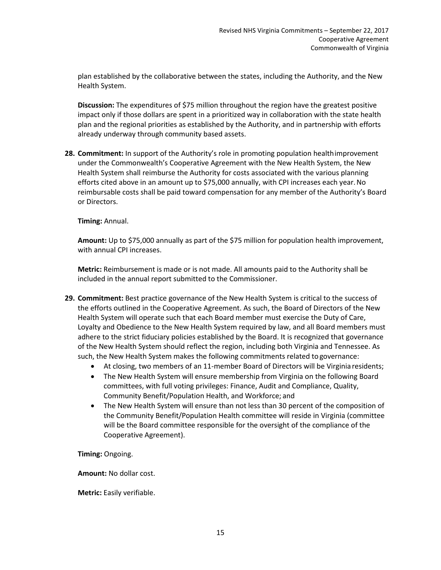plan established by the collaborative between the states, including the Authority, and the New Health System.

**Discussion:** The expenditures of \$75 million throughout the region have the greatest positive impact only if those dollars are spent in a prioritized way in collaboration with the state health plan and the regional priorities as established by the Authority, and in partnership with efforts already underway through community based assets.

**28. Commitment:** In support of the Authority's role in promoting population healthimprovement under the Commonwealth's Cooperative Agreement with the New Health System, the New Health System shall reimburse the Authority for costs associated with the various planning efforts cited above in an amount up to \$75,000 annually, with CPI increases each year.No reimbursable costs shall be paid toward compensation for any member of the Authority's Board or Directors.

## **Timing:** Annual.

**Amount:** Up to \$75,000 annually as part of the \$75 million for population health improvement, with annual CPI increases.

**Metric:** Reimbursement is made or is not made. All amounts paid to the Authority shall be included in the annual report submitted to the Commissioner.

- **29. Commitment:** Best practice governance of the New Health System is critical to the success of the efforts outlined in the Cooperative Agreement. As such, the Board of Directors of the New Health System will operate such that each Board member must exercise the Duty of Care, Loyalty and Obedience to the New Health System required by law, and all Board members must adhere to the strict fiduciary policies established by the Board. It is recognized that governance of the New Health System should reflect the region, including both Virginia and Tennessee. As such, the New Health System makes the following commitments related to governance:
	- At closing, two members of an 11-member Board of Directors will be Virginia residents;
	- The New Health System will ensure membership from Virginia on the following Board committees, with full voting privileges: Finance, Audit and Compliance, Quality, Community Benefit/Population Health, and Workforce; and
	- The New Health System will ensure than not less than 30 percent of the composition of the Community Benefit/Population Health committee will reside in Virginia (committee will be the Board committee responsible for the oversight of the compliance of the Cooperative Agreement).

**Timing:** Ongoing.

**Amount:** No dollar cost.

**Metric:** Easily verifiable.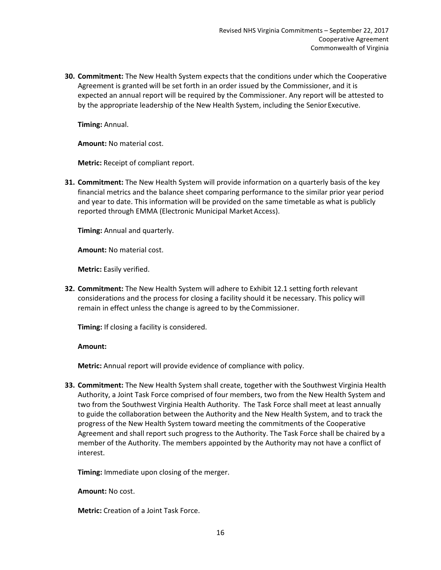**30. Commitment:** The New Health System expects that the conditions under which the Cooperative Agreement is granted will be set forth in an order issued by the Commissioner, and it is expected an annual report will be required by the Commissioner. Any report will be attested to by the appropriate leadership of the New Health System, including the Senior Executive.

**Timing:** Annual.

**Amount:** No material cost.

**Metric:** Receipt of compliant report.

**31. Commitment:** The New Health System will provide information on a quarterly basis of the key financial metrics and the balance sheet comparing performance to the similar prior year period and year to date. This information will be provided on the same timetable as what is publicly reported through EMMA (Electronic Municipal Market Access).

**Timing:** Annual and quarterly.

**Amount:** No material cost.

**Metric:** Easily verified.

**32. Commitment:** The New Health System will adhere to Exhibit 12.1 setting forth relevant considerations and the process for closing a facility should it be necessary. This policy will remain in effect unless the change is agreed to by the Commissioner.

**Timing:** If closing a facility is considered.

**Amount:**

**Metric:** Annual report will provide evidence of compliance with policy.

**33. Commitment:** The New Health System shall create, together with the Southwest Virginia Health Authority, a Joint Task Force comprised of four members, two from the New Health System and two from the Southwest Virginia Health Authority. The Task Force shall meet at least annually to guide the collaboration between the Authority and the New Health System, and to track the progress of the New Health System toward meeting the commitments of the Cooperative Agreement and shall report such progress to the Authority. The Task Force shall be chaired by a member of the Authority. The members appointed by the Authority may not have a conflict of interest.

**Timing:** Immediate upon closing of the merger.

**Amount:** No cost.

**Metric:** Creation of a Joint Task Force.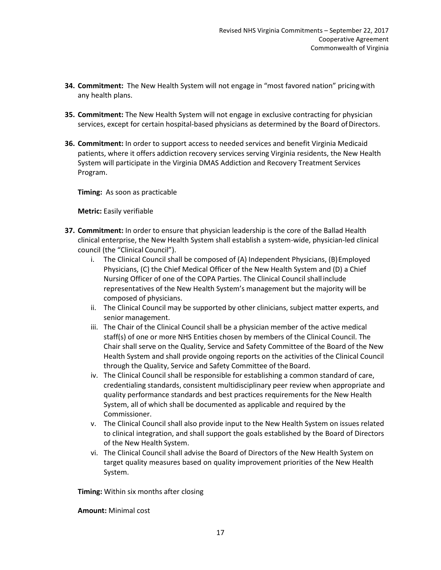- **34. Commitment:** The New Health System will not engage in "most favored nation" pricingwith any health plans.
- **35. Commitment:** The New Health System will not engage in exclusive contracting for physician services, except for certain hospital-based physicians as determined by the Board ofDirectors.
- **36. Commitment:** In order to support access to needed services and benefit Virginia Medicaid patients, where it offers addiction recovery services serving Virginia residents, the New Health System will participate in the Virginia DMAS Addiction and Recovery Treatment Services Program.

**Timing:** As soon as practicable

**Metric:** Easily verifiable

- **37. Commitment:** In order to ensure that physician leadership is the core of the Ballad Health clinical enterprise, the New Health System shall establish a system-wide, physician-led clinical council (the "Clinical Council").
	- i. The Clinical Council shall be composed of (A) Independent Physicians, (B)Employed Physicians, (C) the Chief Medical Officer of the New Health System and (D) a Chief Nursing Officer of one of the COPA Parties. The Clinical Council shall include representatives of the New Health System's management but the majority will be composed of physicians.
	- ii. The Clinical Council may be supported by other clinicians, subject matter experts, and senior management.
	- iii. The Chair of the Clinical Council shall be a physician member of the active medical staff(s) of one or more NHS Entities chosen by members of the Clinical Council. The Chair shall serve on the Quality, Service and Safety Committee of the Board of the New Health System and shall provide ongoing reports on the activities of the Clinical Council through the Quality, Service and Safety Committee of the Board.
	- iv. The Clinical Council shall be responsible for establishing a common standard of care, credentialing standards, consistent multidisciplinary peer review when appropriate and quality performance standards and best practices requirements for the New Health System, all of which shall be documented as applicable and required by the Commissioner.
	- v. The Clinical Council shall also provide input to the New Health System on issues related to clinical integration, and shall support the goals established by the Board of Directors of the New Health System.
	- vi. The Clinical Council shall advise the Board of Directors of the New Health System on target quality measures based on quality improvement priorities of the New Health System.

**Timing:** Within six months after closing

**Amount:** Minimal cost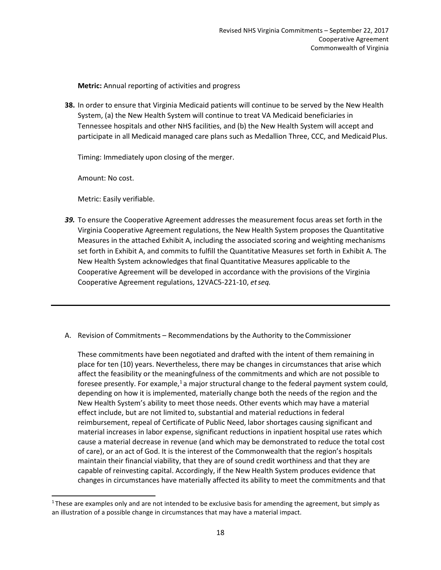**Metric:** Annual reporting of activities and progress

**38.** In order to ensure that Virginia Medicaid patients will continue to be served by the New Health System, (a) the New Health System will continue to treat VA Medicaid beneficiaries in Tennessee hospitals and other NHS facilities, and (b) the New Health System will accept and participate in all Medicaid managed care plans such as Medallion Three, CCC, and Medicaid Plus.

Timing: Immediately upon closing of the merger.

Amount: No cost.

Metric: Easily verifiable.

- *39.* To ensure the Cooperative Agreement addresses the measurement focus areas set forth in the Virginia Cooperative Agreement regulations, the New Health System proposes the Quantitative Measures in the attached Exhibit A, including the associated scoring and weighting mechanisms set forth in Exhibit A, and commits to fulfill the Quantitative Measures set forth in Exhibit A. The New Health System acknowledges that final Quantitative Measures applicable to the Cooperative Agreement will be developed in accordance with the provisions of the Virginia Cooperative Agreement regulations, 12VAC5-221-10, *etseq.*
- A. Revision of Commitments Recommendations by the Authority to the Commissioner

These commitments have been negotiated and drafted with the intent of them remaining in place for ten (10) years. Nevertheless, there may be changes in circumstances that arise which affect the feasibility or the meaningfulness of the commitments and which are not possible to foresee presently. For example, $1$  a major structural change to the federal payment system could, depending on how it is implemented, materially change both the needs of the region and the New Health System's ability to meet those needs. Other events which may have a material effect include, but are not limited to, substantial and material reductions in federal reimbursement, repeal of Certificate of Public Need, labor shortages causing significant and material increases in labor expense, significant reductions in inpatient hospital use rates which cause a material decrease in revenue (and which may be demonstrated to reduce the total cost of care), or an act of God. It is the interest of the Commonwealth that the region's hospitals maintain their financial viability, that they are of sound credit worthiness and that they are capable of reinvesting capital. Accordingly, if the New Health System produces evidence that changes in circumstances have materially affected its ability to meet the commitments and that

<sup>&</sup>lt;sup>1</sup> These are examples only and are not intended to be exclusive basis for amending the agreement, but simply as an illustration of a possible change in circumstances that may have a material impact.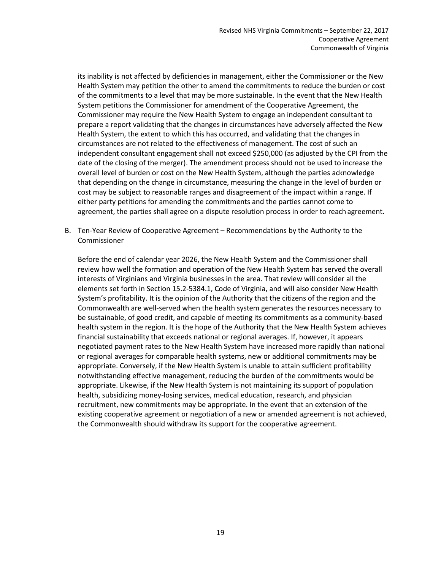its inability is not affected by deficiencies in management, either the Commissioner or the New Health System may petition the other to amend the commitments to reduce the burden or cost of the commitments to a level that may be more sustainable. In the event that the New Health System petitions the Commissioner for amendment of the Cooperative Agreement, the Commissioner may require the New Health System to engage an independent consultant to prepare a report validating that the changes in circumstances have adversely affected the New Health System, the extent to which this has occurred, and validating that the changes in circumstances are not related to the effectiveness of management. The cost of such an independent consultant engagement shall not exceed \$250,000 (as adjusted by the CPI from the date of the closing of the merger). The amendment process should not be used to increase the overall level of burden or cost on the New Health System, although the parties acknowledge that depending on the change in circumstance, measuring the change in the level of burden or cost may be subject to reasonable ranges and disagreement of the impact within a range. If either party petitions for amending the commitments and the parties cannot come to agreement, the parties shall agree on a dispute resolution process in order to reach agreement.

B. Ten-Year Review of Cooperative Agreement – Recommendations by the Authority to the Commissioner

Before the end of calendar year 2026, the New Health System and the Commissioner shall review how well the formation and operation of the New Health System has served the overall interests of Virginians and Virginia businesses in the area. That review will consider all the elements set forth in Section 15.2-5384.1, Code of Virginia, and will also consider New Health System's profitability. It is the opinion of the Authority that the citizens of the region and the Commonwealth are well-served when the health system generates the resources necessary to be sustainable, of good credit, and capable of meeting its commitments as a community-based health system in the region. It is the hope of the Authority that the New Health System achieves financial sustainability that exceeds national or regional averages. If, however, it appears negotiated payment rates to the New Health System have increased more rapidly than national or regional averages for comparable health systems, new or additional commitments may be appropriate. Conversely, if the New Health System is unable to attain sufficient profitability notwithstanding effective management, reducing the burden of the commitments would be appropriate. Likewise, if the New Health System is not maintaining its support of population health, subsidizing money-losing services, medical education, research, and physician recruitment, new commitments may be appropriate. In the event that an extension of the existing cooperative agreement or negotiation of a new or amended agreement is not achieved, the Commonwealth should withdraw its support for the cooperative agreement.